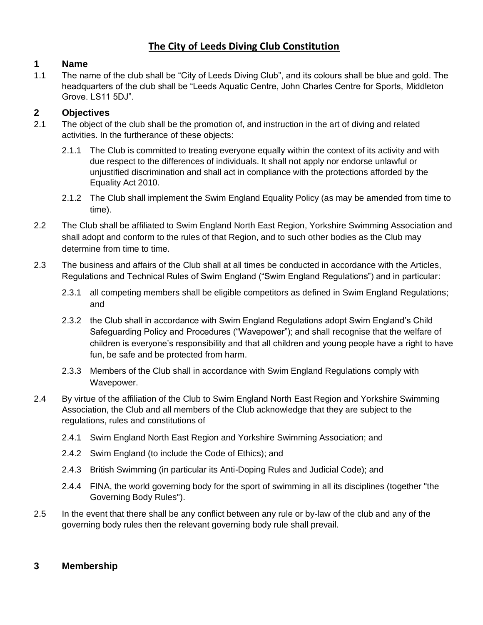# **The City of Leeds Diving Club Constitution**

## **1 Name**

1.1 The name of the club shall be "City of Leeds Diving Club", and its colours shall be blue and gold. The headquarters of the club shall be "Leeds Aquatic Centre, John Charles Centre for Sports, Middleton Grove. LS11 5DJ".

## **2 Objectives**

- 2.1 The object of the club shall be the promotion of, and instruction in the art of diving and related activities. In the furtherance of these objects:
	- 2.1.1 The Club is committed to treating everyone equally within the context of its activity and with due respect to the differences of individuals. It shall not apply nor endorse unlawful or unjustified discrimination and shall act in compliance with the protections afforded by the Equality Act 2010.
	- 2.1.2 The Club shall implement the Swim England Equality Policy (as may be amended from time to time).
- 2.2 The Club shall be affiliated to Swim England North East Region, Yorkshire Swimming Association and shall adopt and conform to the rules of that Region, and to such other bodies as the Club may determine from time to time.
- 2.3 The business and affairs of the Club shall at all times be conducted in accordance with the Articles, Regulations and Technical Rules of Swim England ("Swim England Regulations") and in particular:
	- 2.3.1 all competing members shall be eligible competitors as defined in Swim England Regulations; and
	- 2.3.2 the Club shall in accordance with Swim England Regulations adopt Swim England's Child Safeguarding Policy and Procedures ("Wavepower"); and shall recognise that the welfare of children is everyone's responsibility and that all children and young people have a right to have fun, be safe and be protected from harm.
	- 2.3.3 Members of the Club shall in accordance with Swim England Regulations comply with Wavepower.
- 2.4 By virtue of the affiliation of the Club to Swim England North East Region and Yorkshire Swimming Association, the Club and all members of the Club acknowledge that they are subject to the regulations, rules and constitutions of
	- 2.4.1 Swim England North East Region and Yorkshire Swimming Association; and
	- 2.4.2 Swim England (to include the Code of Ethics); and
	- 2.4.3 British Swimming (in particular its Anti-Doping Rules and Judicial Code); and
	- 2.4.4 FINA, the world governing body for the sport of swimming in all its disciplines (together "the Governing Body Rules").
- 2.5 In the event that there shall be any conflict between any rule or by-law of the club and any of the governing body rules then the relevant governing body rule shall prevail.

## **3 Membership**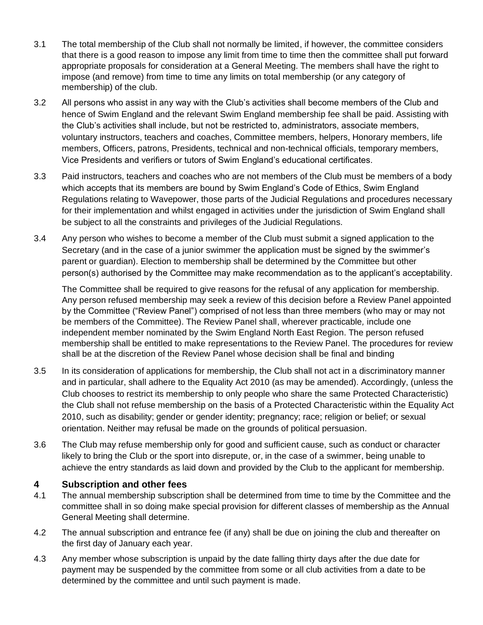- 3.1 The total membership of the Club shall not normally be limited, if however, the committee considers that there is a good reason to impose any limit from time to time then the committee shall put forward appropriate proposals for consideration at a General Meeting. The members shall have the right to impose (and remove) from time to time any limits on total membership (or any category of membership) of the club.
- 3.2 All persons who assist in any way with the Club's activities shall become members of the Club and hence of Swim England and the relevant Swim England membership fee shall be paid. Assisting with the Club's activities shall include, but not be restricted to, administrators, associate members, voluntary instructors, teachers and coaches, Committee members, helpers, Honorary members, life members, Officers, patrons, Presidents, technical and non-technical officials, temporary members, Vice Presidents and verifiers or tutors of Swim England's educational certificates.
- 3.3 Paid instructors, teachers and coaches who are not members of the Club must be members of a body which accepts that its members are bound by Swim England's Code of Ethics, Swim England Regulations relating to Wavepower, those parts of the Judicial Regulations and procedures necessary for their implementation and whilst engaged in activities under the jurisdiction of Swim England shall be subject to all the constraints and privileges of the Judicial Regulations.
- 3.4 Any person who wishes to become a member of the Club must submit a signed application to the Secretary (and in the case of a junior swimmer the application must be signed by the swimmer's parent or guardian). Election to membership shall be determined by the *C*ommittee but other person(s) authorised by the Committee may make recommendation as to the applicant's acceptability.

The Committe*e* shall be required to give reasons for the refusal of any application for membership. Any person refused membership may seek a review of this decision before a Review Panel appointed by the Committee ("Review Panel") comprised of not less than three members (who may or may not be members of the Committee). The Review Panel shall, wherever practicable*,* include one independent member nominated by the Swim England North East Region. The person refused membership shall be entitled to make representations to the Review Panel. The procedures for review shall be at the discretion of the Review Panel whose decision shall be final and binding

- 3.5 In its consideration of applications for membership, the Club shall not act in a discriminatory manner and in particular, shall adhere to the Equality Act 2010 (as may be amended). Accordingly, (unless the Club chooses to restrict its membership to only people who share the same Protected Characteristic) the Club shall not refuse membership on the basis of a Protected Characteristic within the Equality Act 2010, such as disability; gender or gender identity; pregnancy; race; religion or belief; or sexual orientation. Neither may refusal be made on the grounds of political persuasion.
- 3.6 The Club may refuse membership only for good and sufficient cause, such as conduct or character likely to bring the Club or the sport into disrepute, or, in the case of a swimmer, being unable to achieve the entry standards as laid down and provided by the Club to the applicant for membership.

#### **4 Subscription and other fees**

- 4.1 The annual membership subscription shall be determined from time to time by the Committee and the committee shall in so doing make special provision for different classes of membership as the Annual General Meeting shall determine.
- 4.2 The annual subscription and entrance fee (if any) shall be due on joining the club and thereafter on the first day of January each year.
- 4.3 Any member whose subscription is unpaid by the date falling thirty days after the due date for payment may be suspended by the committee from some or all club activities from a date to be determined by the committee and until such payment is made.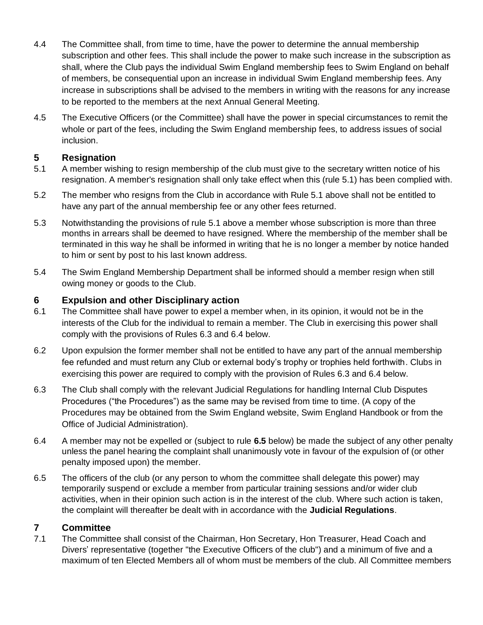- 4.4 The Committee shall, from time to time, have the power to determine the annual membership subscription and other fees. This shall include the power to make such increase in the subscription as shall, where the Club pays the individual Swim England membership fees to Swim England on behalf of members, be consequential upon an increase in individual Swim England membership fees. Any increase in subscriptions shall be advised to the members in writing with the reasons for any increase to be reported to the members at the next Annual General Meeting.
- 4.5 The Executive Officers (or the Committee) shall have the power in special circumstances to remit the whole or part of the fees, including the Swim England membership fees, to address issues of social inclusion.

## **5 Resignation**

- 5.1 A member wishing to resign membership of the club must give to the secretary written notice of his resignation. A member's resignation shall only take effect when this (rule 5.1) has been complied with.
- 5.2 The member who resigns from the Club in accordance with Rule 5.1 above shall not be entitled to have any part of the annual membership fee or any other fees returned.
- 5.3 Notwithstanding the provisions of rule 5.1 above a member whose subscription is more than three months in arrears shall be deemed to have resigned. Where the membership of the member shall be terminated in this way he shall be informed in writing that he is no longer a member by notice handed to him or sent by post to his last known address.
- 5.4 The Swim England Membership Department shall be informed should a member resign when still owing money or goods to the Club.

## **6 Expulsion and other Disciplinary action**

- 6.1 The Committee shall have power to expel a member when, in its opinion, it would not be in the interests of the Club for the individual to remain a member. The Club in exercising this power shall comply with the provisions of Rules 6.3 and 6.4 below.
- 6.2 Upon expulsion the former member shall not be entitled to have any part of the annual membership fee refunded and must return any Club or external body's trophy or trophies held forthwith. Clubs in exercising this power are required to comply with the provision of Rules 6.3 and 6.4 below.
- 6.3 The Club shall comply with the relevant Judicial Regulations for handling Internal Club Disputes Procedures ("the Procedures") as the same may be revised from time to time. (A copy of the Procedures may be obtained from the Swim England website, Swim England Handbook or from the Office of Judicial Administration).
- 6.4 A member may not be expelled or (subject to rule **6.5** below) be made the subject of any other penalty unless the panel hearing the complaint shall unanimously vote in favour of the expulsion of (or other penalty imposed upon) the member.
- 6.5 The officers of the club (or any person to whom the committee shall delegate this power) may temporarily suspend or exclude a member from particular training sessions and/or wider club activities, when in their opinion such action is in the interest of the club. Where such action is taken, the complaint will thereafter be dealt with in accordance with the **Judicial Regulations**.

## **7 Committee**

7.1 The Committee shall consist of the Chairman, Hon Secretary, Hon Treasurer, Head Coach and Divers' representative (together "the Executive Officers of the club") and a minimum of five and a maximum of ten Elected Members all of whom must be members of the club. All Committee members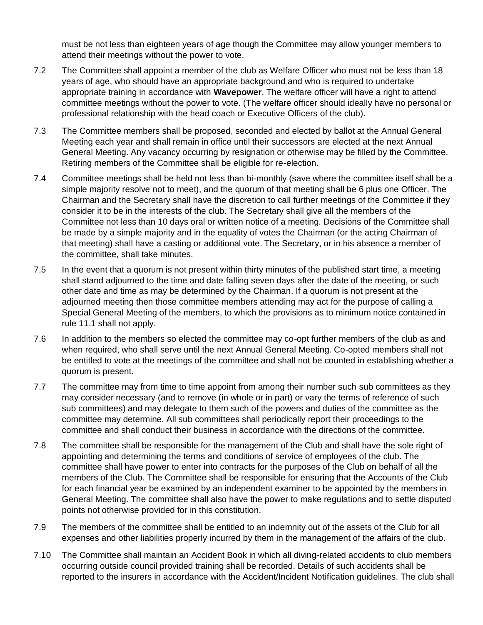must be not less than eighteen years of age though the Committee may allow younger members to attend their meetings without the power to vote.

- 7.2 The Committee shall appoint a member of the club as Welfare Officer who must not be less than 18 years of age, who should have an appropriate background and who is required to undertake appropriate training in accordance with **Wavepower**. The welfare officer will have a right to attend committee meetings without the power to vote. (The welfare officer should ideally have no personal or professional relationship with the head coach or Executive Officers of the club).
- 7.3 The Committee members shall be proposed, seconded and elected by ballot at the Annual General Meeting each year and shall remain in office until their successors are elected at the next Annual General Meeting. Any vacancy occurring by resignation or otherwise may be filled by the Committee. Retiring members of the Committee shall be eligible for re-election.
- 7.4 Committee meetings shall be held not less than bi-monthly (save where the committee itself shall be a simple majority resolve not to meet), and the quorum of that meeting shall be 6 plus one Officer. The Chairman and the Secretary shall have the discretion to call further meetings of the Committee if they consider it to be in the interests of the club. The Secretary shall give all the members of the Committee not less than 10 days oral or written notice of a meeting. Decisions of the Committee shall be made by a simple majority and in the equality of votes the Chairman (or the acting Chairman of that meeting) shall have a casting or additional vote. The Secretary, or in his absence a member of the committee, shall take minutes.
- 7.5 In the event that a quorum is not present within thirty minutes of the published start time, a meeting shall stand adjourned to the time and date falling seven days after the date of the meeting, or such other date and time as may be determined by the Chairman. If a quorum is not present at the adjourned meeting then those committee members attending may act for the purpose of calling a Special General Meeting of the members, to which the provisions as to minimum notice contained in rule 11.1 shall not apply.
- 7.6 In addition to the members so elected the committee may co-opt further members of the club as and when required, who shall serve until the next Annual General Meeting. Co-opted members shall not be entitled to vote at the meetings of the committee and shall not be counted in establishing whether a quorum is present.
- 7.7 The committee may from time to time appoint from among their number such sub committees as they may consider necessary (and to remove (in whole or in part) or vary the terms of reference of such sub committees) and may delegate to them such of the powers and duties of the committee as the committee may determine. All sub committees shall periodically report their proceedings to the committee and shall conduct their business in accordance with the directions of the committee.
- 7.8 The committee shall be responsible for the management of the Club and shall have the sole right of appointing and determining the terms and conditions of service of employees of the club. The committee shall have power to enter into contracts for the purposes of the Club on behalf of all the members of the Club. The Committee shall be responsible for ensuring that the Accounts of the Club for each financial year be examined by an independent examiner to be appointed by the members in General Meeting. The committee shall also have the power to make regulations and to settle disputed points not otherwise provided for in this constitution.
- 7.9 The members of the committee shall be entitled to an indemnity out of the assets of the Club for all expenses and other liabilities properly incurred by them in the management of the affairs of the club.
- 7.10 The Committee shall maintain an Accident Book in which all diving-related accidents to club members occurring outside council provided training shall be recorded. Details of such accidents shall be reported to the insurers in accordance with the Accident/Incident Notification guidelines. The club shall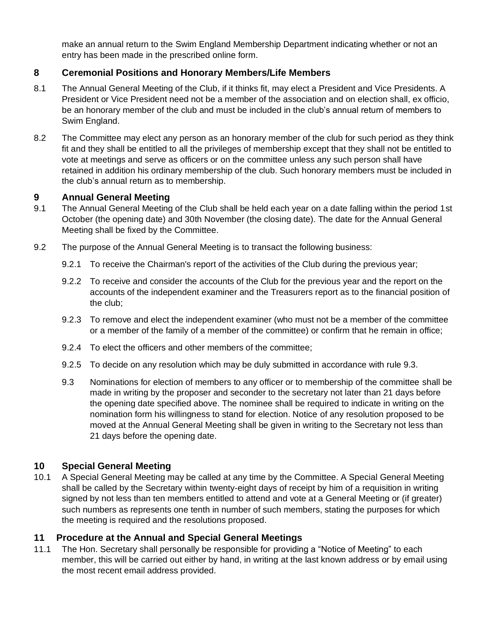make an annual return to the Swim England Membership Department indicating whether or not an entry has been made in the prescribed online form.

## **8 Ceremonial Positions and Honorary Members/Life Members**

- 8.1 The Annual General Meeting of the Club, if it thinks fit, may elect a President and Vice Presidents. A President or Vice President need not be a member of the association and on election shall, ex officio, be an honorary member of the club and must be included in the club's annual return of members to Swim England.
- 8.2 The Committee may elect any person as an honorary member of the club for such period as they think fit and they shall be entitled to all the privileges of membership except that they shall not be entitled to vote at meetings and serve as officers or on the committee unless any such person shall have retained in addition his ordinary membership of the club. Such honorary members must be included in the club's annual return as to membership.

#### **9 Annual General Meeting**

- 9.1 The Annual General Meeting of the Club shall be held each year on a date falling within the period 1st October (the opening date) and 30th November (the closing date). The date for the Annual General Meeting shall be fixed by the Committee.
- 9.2 The purpose of the Annual General Meeting is to transact the following business:
	- 9.2.1 To receive the Chairman's report of the activities of the Club during the previous year;
	- 9.2.2 To receive and consider the accounts of the Club for the previous year and the report on the accounts of the independent examiner and the Treasurers report as to the financial position of the club;
	- 9.2.3 To remove and elect the independent examiner (who must not be a member of the committee or a member of the family of a member of the committee) or confirm that he remain in office;
	- 9.2.4 To elect the officers and other members of the committee;
	- 9.2.5 To decide on any resolution which may be duly submitted in accordance with rule 9.3.
	- 9.3 Nominations for election of members to any officer or to membership of the committee shall be made in writing by the proposer and seconder to the secretary not later than 21 days before the opening date specified above. The nominee shall be required to indicate in writing on the nomination form his willingness to stand for election. Notice of any resolution proposed to be moved at the Annual General Meeting shall be given in writing to the Secretary not less than 21 days before the opening date.

#### **10 Special General Meeting**

10.1 A Special General Meeting may be called at any time by the Committee. A Special General Meeting shall be called by the Secretary within twenty-eight days of receipt by him of a requisition in writing signed by not less than ten members entitled to attend and vote at a General Meeting or (if greater) such numbers as represents one tenth in number of such members, stating the purposes for which the meeting is required and the resolutions proposed.

#### **11 Procedure at the Annual and Special General Meetings**

11.1 The Hon. Secretary shall personally be responsible for providing a "Notice of Meeting" to each member, this will be carried out either by hand, in writing at the last known address or by email using the most recent email address provided.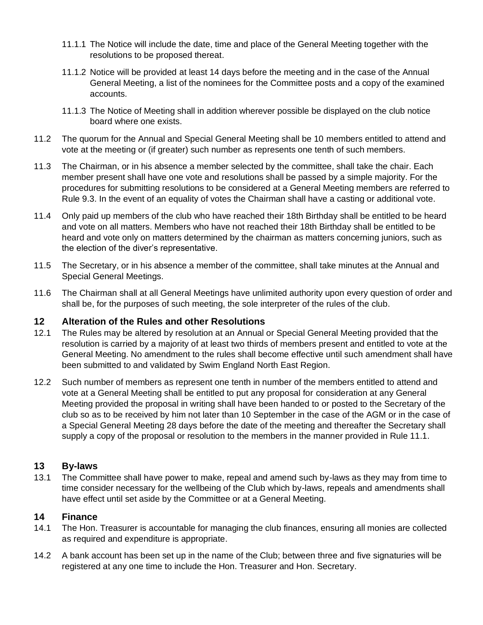- 11.1.1 The Notice will include the date, time and place of the General Meeting together with the resolutions to be proposed thereat.
- 11.1.2 Notice will be provided at least 14 days before the meeting and in the case of the Annual General Meeting, a list of the nominees for the Committee posts and a copy of the examined accounts.
- 11.1.3 The Notice of Meeting shall in addition wherever possible be displayed on the club notice board where one exists.
- 11.2 The quorum for the Annual and Special General Meeting shall be 10 members entitled to attend and vote at the meeting or (if greater) such number as represents one tenth of such members.
- 11.3 The Chairman, or in his absence a member selected by the committee, shall take the chair. Each member present shall have one vote and resolutions shall be passed by a simple majority. For the procedures for submitting resolutions to be considered at a General Meeting members are referred to Rule 9.3. In the event of an equality of votes the Chairman shall have a casting or additional vote.
- 11.4 Only paid up members of the club who have reached their 18th Birthday shall be entitled to be heard and vote on all matters. Members who have not reached their 18th Birthday shall be entitled to be heard and vote only on matters determined by the chairman as matters concerning juniors, such as the election of the diver's representative.
- 11.5 The Secretary, or in his absence a member of the committee, shall take minutes at the Annual and Special General Meetings.
- 11.6 The Chairman shall at all General Meetings have unlimited authority upon every question of order and shall be, for the purposes of such meeting, the sole interpreter of the rules of the club.

#### **12 Alteration of the Rules and other Resolutions**

- 12.1 The Rules may be altered by resolution at an Annual or Special General Meeting provided that the resolution is carried by a majority of at least two thirds of members present and entitled to vote at the General Meeting. No amendment to the rules shall become effective until such amendment shall have been submitted to and validated by Swim England North East Region.
- 12.2 Such number of members as represent one tenth in number of the members entitled to attend and vote at a General Meeting shall be entitled to put any proposal for consideration at any General Meeting provided the proposal in writing shall have been handed to or posted to the Secretary of the club so as to be received by him not later than 10 September in the case of the AGM or in the case of a Special General Meeting 28 days before the date of the meeting and thereafter the Secretary shall supply a copy of the proposal or resolution to the members in the manner provided in Rule 11.1.

#### **13 By-laws**

13.1 The Committee shall have power to make, repeal and amend such by-laws as they may from time to time consider necessary for the wellbeing of the Club which by-laws, repeals and amendments shall have effect until set aside by the Committee or at a General Meeting.

#### **14 Finance**

- 14.1 The Hon. Treasurer is accountable for managing the club finances, ensuring all monies are collected as required and expenditure is appropriate.
- 14.2 A bank account has been set up in the name of the Club; between three and five signaturies will be registered at any one time to include the Hon. Treasurer and Hon. Secretary.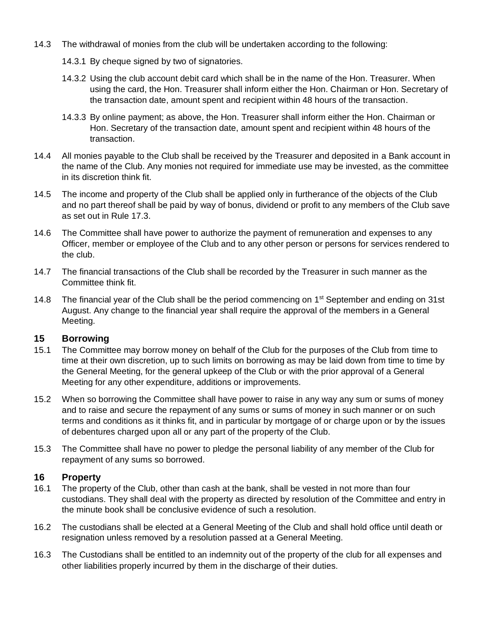- 14.3 The withdrawal of monies from the club will be undertaken according to the following:
	- 14.3.1 By cheque signed by two of signatories.
	- 14.3.2 Using the club account debit card which shall be in the name of the Hon. Treasurer. When using the card, the Hon. Treasurer shall inform either the Hon. Chairman or Hon. Secretary of the transaction date, amount spent and recipient within 48 hours of the transaction.
	- 14.3.3 By online payment; as above, the Hon. Treasurer shall inform either the Hon. Chairman or Hon. Secretary of the transaction date, amount spent and recipient within 48 hours of the transaction.
- 14.4 All monies payable to the Club shall be received by the Treasurer and deposited in a Bank account in the name of the Club. Any monies not required for immediate use may be invested, as the committee in its discretion think fit.
- 14.5 The income and property of the Club shall be applied only in furtherance of the objects of the Club and no part thereof shall be paid by way of bonus, dividend or profit to any members of the Club save as set out in Rule 17.3.
- 14.6 The Committee shall have power to authorize the payment of remuneration and expenses to any Officer, member or employee of the Club and to any other person or persons for services rendered to the club.
- 14.7 The financial transactions of the Club shall be recorded by the Treasurer in such manner as the Committee think fit.
- 14.8 The financial year of the Club shall be the period commencing on 1<sup>st</sup> September and ending on 31st August. Any change to the financial year shall require the approval of the members in a General Meeting.

#### **15 Borrowing**

- 15.1 The Committee may borrow money on behalf of the Club for the purposes of the Club from time to time at their own discretion, up to such limits on borrowing as may be laid down from time to time by the General Meeting, for the general upkeep of the Club or with the prior approval of a General Meeting for any other expenditure, additions or improvements.
- 15.2 When so borrowing the Committee shall have power to raise in any way any sum or sums of money and to raise and secure the repayment of any sums or sums of money in such manner or on such terms and conditions as it thinks fit, and in particular by mortgage of or charge upon or by the issues of debentures charged upon all or any part of the property of the Club.
- 15.3 The Committee shall have no power to pledge the personal liability of any member of the Club for repayment of any sums so borrowed.

#### **16 Property**

- 16.1 The property of the Club, other than cash at the bank, shall be vested in not more than four custodians. They shall deal with the property as directed by resolution of the Committee and entry in the minute book shall be conclusive evidence of such a resolution.
- 16.2 The custodians shall be elected at a General Meeting of the Club and shall hold office until death or resignation unless removed by a resolution passed at a General Meeting.
- 16.3 The Custodians shall be entitled to an indemnity out of the property of the club for all expenses and other liabilities properly incurred by them in the discharge of their duties.